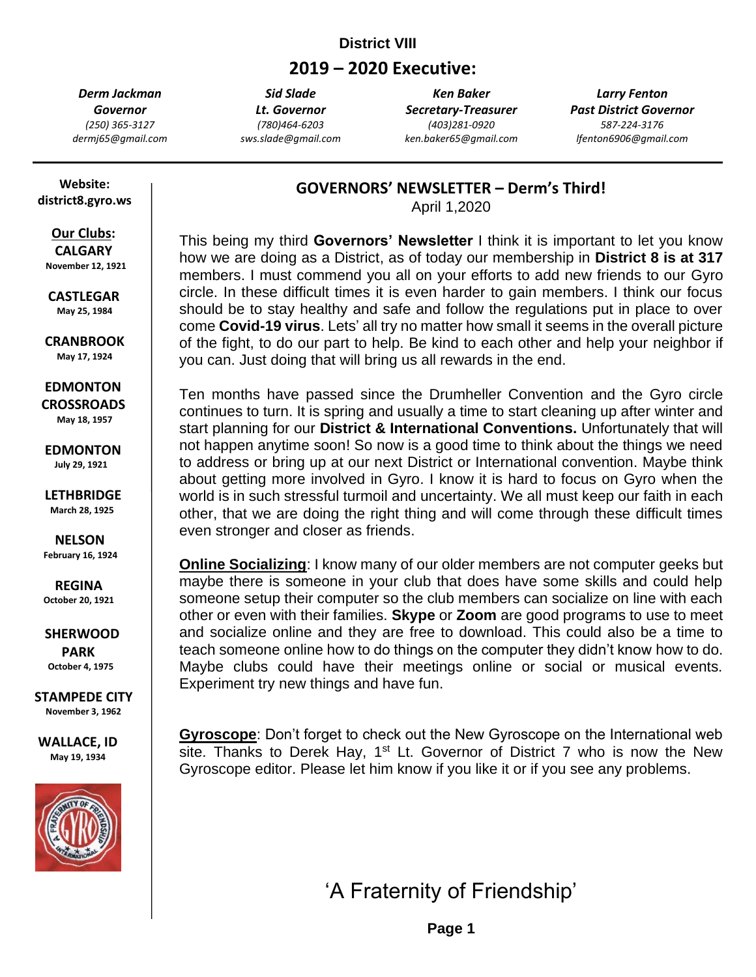# **District VIII**

# **2019 – 2020 Executive:**

*Derm Jackman Governor (250) 365-3127 dermj65@gmail.com*

*Sid Slade Lt. Governor (780)464-6203 sws.slade@gmail.com*

*Ken Baker Secretary-Treasurer (403)281-0920 ken.baker65@gmail.com*

*Larry Fenton Past District Governor 587-224-3176 lfenton6906@gmail.com*

 **Website: district8.gyro.ws**

# **Our Clubs:**

 **CALGARY November 12, 1921**

 **CASTLEGAR May 25, 1984**

 **CRANBROOK May 17, 1924**

 **EDMONTON CROSSROADS May 18, 1957**

 **EDMONTON July 29, 1921**

 **LETHBRIDGE March 28, 1925**

 **NELSON February 16, 1924**

 **REGINA October 20, 1921**

 **SHERWOOD PARK October 4, 1975**

**STAMPEDE CITY November 3, 1962**

**WALLACE, ID May 19, 1934**



**GOVERNORS' NEWSLETTER – Derm's Third!**

April 1,2020

This being my third **Governors' Newsletter** I think it is important to let you know how we are doing as a District, as of today our membership in **District 8 is at 317** members. I must commend you all on your efforts to add new friends to our Gyro circle. In these difficult times it is even harder to gain members. I think our focus should be to stay healthy and safe and follow the regulations put in place to over come **Covid-19 virus**. Lets' all try no matter how small it seems in the overall picture of the fight, to do our part to help. Be kind to each other and help your neighbor if you can. Just doing that will bring us all rewards in the end.

Ten months have passed since the Drumheller Convention and the Gyro circle continues to turn. It is spring and usually a time to start cleaning up after winter and start planning for our **District & International Conventions.** Unfortunately that will not happen anytime soon! So now is a good time to think about the things we need to address or bring up at our next District or International convention. Maybe think about getting more involved in Gyro. I know it is hard to focus on Gyro when the world is in such stressful turmoil and uncertainty. We all must keep our faith in each other, that we are doing the right thing and will come through these difficult times even stronger and closer as friends.

**Online Socializing**: I know many of our older members are not computer geeks but maybe there is someone in your club that does have some skills and could help someone setup their computer so the club members can socialize on line with each other or even with their families. **Skype** or **Zoom** are good programs to use to meet and socialize online and they are free to download. This could also be a time to teach someone online how to do things on the computer they didn't know how to do. Maybe clubs could have their meetings online or social or musical events. Experiment try new things and have fun.

**Gyroscope**: Don't forget to check out the New Gyroscope on the International web site. Thanks to Derek Hay,  $1^{st}$  Lt. Governor of District 7 who is now the New Gyroscope editor. Please let him know if you like it or if you see any problems.

'A Fraternity of Friendship'

**'A Fraternity of Page 1**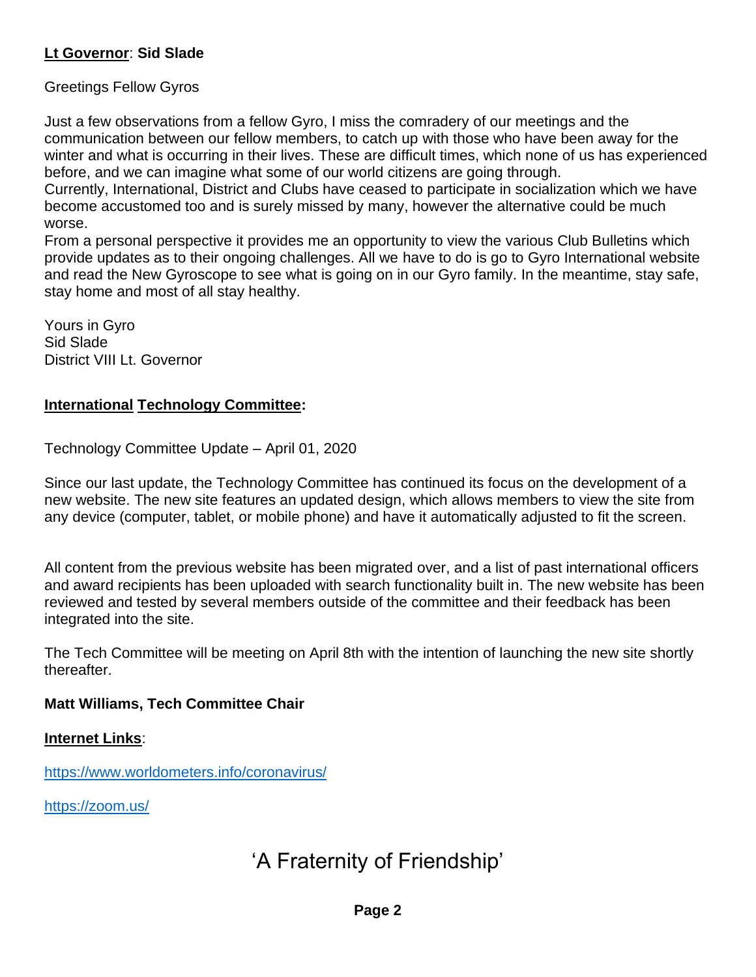# **Lt Governor**: **Sid Slade**

Greetings Fellow Gyros

Just a few observations from a fellow Gyro, I miss the comradery of our meetings and the communication between our fellow members, to catch up with those who have been away for the winter and what is occurring in their lives. These are difficult times, which none of us has experienced before, and we can imagine what some of our world citizens are going through.

Currently, International, District and Clubs have ceased to participate in socialization which we have become accustomed too and is surely missed by many, however the alternative could be much worse.

From a personal perspective it provides me an opportunity to view the various Club Bulletins which provide updates as to their ongoing challenges. All we have to do is go to Gyro International website and read the New Gyroscope to see what is going on in our Gyro family. In the meantime, stay safe, stay home and most of all stay healthy.

Yours in Gyro Sid Slade District VIII Lt. Governor

# **International Technology Committee:**

Technology Committee Update – April 01, 2020

Since our last update, the Technology Committee has continued its focus on the development of a new website. The new site features an updated design, which allows members to view the site from any device (computer, tablet, or mobile phone) and have it automatically adjusted to fit the screen.

All content from the previous website has been migrated over, and a list of past international officers and award recipients has been uploaded with search functionality built in. The new website has been reviewed and tested by several members outside of the committee and their feedback has been integrated into the site.

The Tech Committee will be meeting on April 8th with the intention of launching the new site shortly thereafter.

#### **Matt Williams, Tech Committee Chair**

#### **Internet Links**:

<https://www.worldometers.info/coronavirus/>

https://zoom.us/

# 'A Fraternity of Friendship'